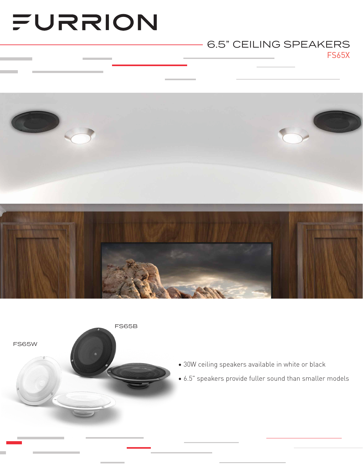# FURRION

### FS65X 6.5" CEILING SPEAKERS





- 30W ceiling speakers available in white or black
- 6.5" speakers provide fuller sound than smaller models